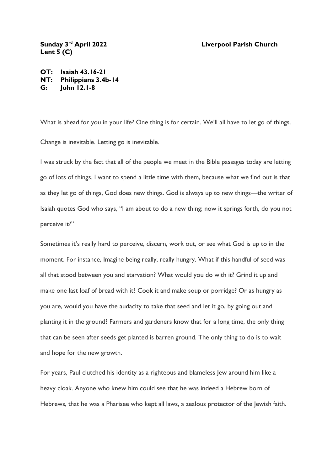## **Liverpool Parish Church**

Sunday 3<sup>rd</sup> April 2022 **Lent 5 (C)**

**OT: Isaiah 43.16-21 NT: Philippians 3.4b-14 G: John 12.1-8**

What is ahead for you in your life? One thing is for certain. We'll all have to let go of things. Change is inevitable. Letting go is inevitable.

I was struck by the fact that all of the people we meet in the Bible passages today are letting go of lots of things. I want to spend a little time with them, because what we find out is that as they let go of things, God does new things. God is always up to new things—the writer of Isaiah quotes God who says, "I am about to do a new thing; now it springs forth, do you not perceive it?"

Sometimes it's really hard to perceive, discern, work out, or see what God is up to in the moment. For instance, Imagine being really, really hungry. What if this handful of seed was all that stood between you and starvation? What would you do with it? Grind it up and make one last loaf of bread with it? Cook it and make soup or porridge? Or as hungry as you are, would you have the audacity to take that seed and let it go, by going out and planting it in the ground? Farmers and gardeners know that for a long time, the only thing that can be seen after seeds get planted is barren ground. The only thing to do is to wait and hope for the new growth.

For years, Paul clutched his identity as a righteous and blameless Jew around him like a heavy cloak. Anyone who knew him could see that he was indeed a Hebrew born of Hebrews, that he was a Pharisee who kept all laws, a zealous protector of the Jewish faith.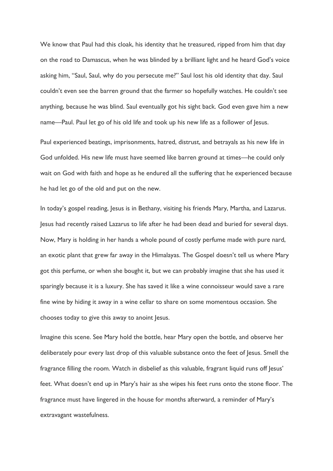We know that Paul had this cloak, his identity that he treasured, ripped from him that day on the road to Damascus, when he was blinded by a brilliant light and he heard God's voice asking him, "Saul, Saul, why do you persecute me?" Saul lost his old identity that day. Saul couldn't even see the barren ground that the farmer so hopefully watches. He couldn't see anything, because he was blind. Saul eventually got his sight back. God even gave him a new name—Paul. Paul let go of his old life and took up his new life as a follower of Jesus.

Paul experienced beatings, imprisonments, hatred, distrust, and betrayals as his new life in God unfolded. His new life must have seemed like barren ground at times—he could only wait on God with faith and hope as he endured all the suffering that he experienced because he had let go of the old and put on the new.

In today's gospel reading, Jesus is in Bethany, visiting his friends Mary, Martha, and Lazarus. Jesus had recently raised Lazarus to life after he had been dead and buried for several days. Now, Mary is holding in her hands a whole pound of costly perfume made with pure nard, an exotic plant that grew far away in the Himalayas. The Gospel doesn't tell us where Mary got this perfume, or when she bought it, but we can probably imagine that she has used it sparingly because it is a luxury. She has saved it like a wine connoisseur would save a rare fine wine by hiding it away in a wine cellar to share on some momentous occasion. She chooses today to give this away to anoint Jesus.

Imagine this scene. See Mary hold the bottle, hear Mary open the bottle, and observe her deliberately pour every last drop of this valuable substance onto the feet of Jesus. Smell the fragrance filling the room. Watch in disbelief as this valuable, fragrant liquid runs off Jesus' feet. What doesn't end up in Mary's hair as she wipes his feet runs onto the stone floor. The fragrance must have lingered in the house for months afterward, a reminder of Mary's extravagant wastefulness.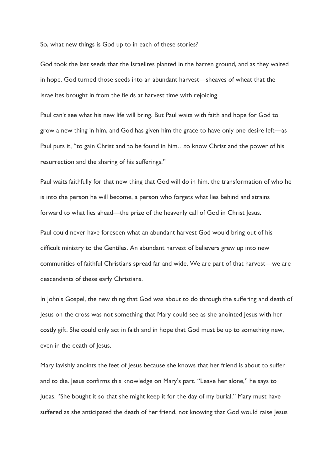So, what new things is God up to in each of these stories?

God took the last seeds that the Israelites planted in the barren ground, and as they waited in hope, God turned those seeds into an abundant harvest—sheaves of wheat that the Israelites brought in from the fields at harvest time with rejoicing.

Paul can't see what his new life will bring. But Paul waits with faith and hope for God to grow a new thing in him, and God has given him the grace to have only one desire left—as Paul puts it, "to gain Christ and to be found in him…to know Christ and the power of his resurrection and the sharing of his sufferings."

Paul waits faithfully for that new thing that God will do in him, the transformation of who he is into the person he will become, a person who forgets what lies behind and strains forward to what lies ahead—the prize of the heavenly call of God in Christ Jesus.

Paul could never have foreseen what an abundant harvest God would bring out of his difficult ministry to the Gentiles. An abundant harvest of believers grew up into new communities of faithful Christians spread far and wide. We are part of that harvest—we are descendants of these early Christians.

In John's Gospel, the new thing that God was about to do through the suffering and death of Jesus on the cross was not something that Mary could see as she anointed Jesus with her costly gift. She could only act in faith and in hope that God must be up to something new, even in the death of Jesus.

Mary lavishly anoints the feet of Jesus because she knows that her friend is about to suffer and to die. Jesus confirms this knowledge on Mary's part. "Leave her alone," he says to Judas. "She bought it so that she might keep it for the day of my burial." Mary must have suffered as she anticipated the death of her friend, not knowing that God would raise Jesus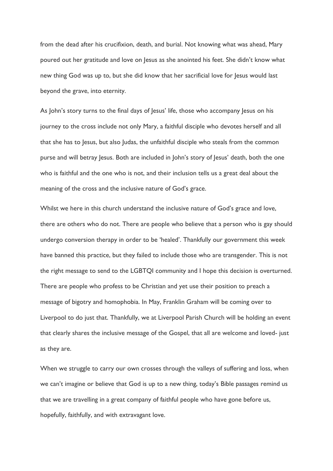from the dead after his crucifixion, death, and burial. Not knowing what was ahead, Mary poured out her gratitude and love on Jesus as she anointed his feet. She didn't know what new thing God was up to, but she did know that her sacrificial love for Jesus would last beyond the grave, into eternity.

As John's story turns to the final days of Jesus' life, those who accompany Jesus on his journey to the cross include not only Mary, a faithful disciple who devotes herself and all that she has to Jesus, but also Judas, the unfaithful disciple who steals from the common purse and will betray Jesus. Both are included in John's story of Jesus' death, both the one who is faithful and the one who is not, and their inclusion tells us a great deal about the meaning of the cross and the inclusive nature of God's grace.

Whilst we here in this church understand the inclusive nature of God's grace and love, there are others who do not. There are people who believe that a person who is gay should undergo conversion therapy in order to be 'healed'. Thankfully our government this week have banned this practice, but they failed to include those who are transgender. This is not the right message to send to the LGBTQI community and I hope this decision is overturned. There are people who profess to be Christian and yet use their position to preach a message of bigotry and homophobia. In May, Franklin Graham will be coming over to Liverpool to do just that. Thankfully, we at Liverpool Parish Church will be holding an event that clearly shares the inclusive message of the Gospel, that all are welcome and loved- just as they are.

When we struggle to carry our own crosses through the valleys of suffering and loss, when we can't imagine or believe that God is up to a new thing, today's Bible passages remind us that we are travelling in a great company of faithful people who have gone before us, hopefully, faithfully, and with extravagant love.